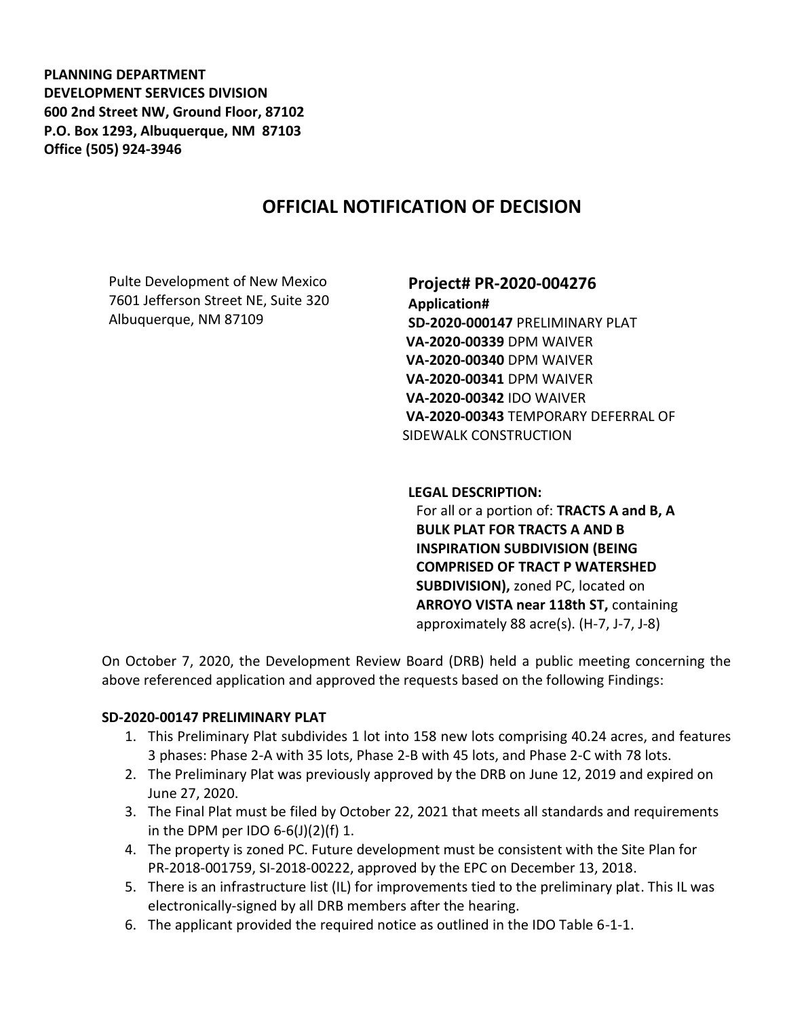**PLANNING DEPARTMENT DEVELOPMENT SERVICES DIVISION 600 2nd Street NW, Ground Floor, 87102 P.O. Box 1293, Albuquerque, NM 87103 Office (505) 924-3946** 

# **OFFICIAL NOTIFICATION OF DECISION**

Pulte Development of New Mexico 7601 Jefferson Street NE, Suite 320 Albuquerque, NM 87109

## **Project# PR-2020-004276 Application# SD-2020-000147** PRELIMINARY PLAT **VA-2020-00339** DPM WAIVER **VA-2020-00340** DPM WAIVER **VA-2020-00341** DPM WAIVER **VA-2020-00342** IDO WAIVER **VA-2020-00343** TEMPORARY DEFERRAL OF SIDEWALK CONSTRUCTION

#### **LEGAL DESCRIPTION:**

For all or a portion of: **TRACTS A and B, A BULK PLAT FOR TRACTS A AND B INSPIRATION SUBDIVISION (BEING COMPRISED OF TRACT P WATERSHED SUBDIVISION),** zoned PC, located on **ARROYO VISTA near 118th ST,** containing approximately 88 acre(s). (H-7, J-7, J-8)

On October 7, 2020, the Development Review Board (DRB) held a public meeting concerning the above referenced application and approved the requests based on the following Findings:

### **SD-2020-00147 PRELIMINARY PLAT**

- 1. This Preliminary Plat subdivides 1 lot into 158 new lots comprising 40.24 acres, and features 3 phases: Phase 2-A with 35 lots, Phase 2-B with 45 lots, and Phase 2-C with 78 lots.
- 2. The Preliminary Plat was previously approved by the DRB on June 12, 2019 and expired on June 27, 2020.
- 3. The Final Plat must be filed by October 22, 2021 that meets all standards and requirements in the DPM per IDO  $6-6(1)(2)(f)$  1.
- 4. The property is zoned PC. Future development must be consistent with the Site Plan for PR-2018-001759, SI-2018-00222, approved by the EPC on December 13, 2018.
- 5. There is an infrastructure list (IL) for improvements tied to the preliminary plat. This IL was electronically-signed by all DRB members after the hearing.
- 6. The applicant provided the required notice as outlined in the IDO Table 6-1-1.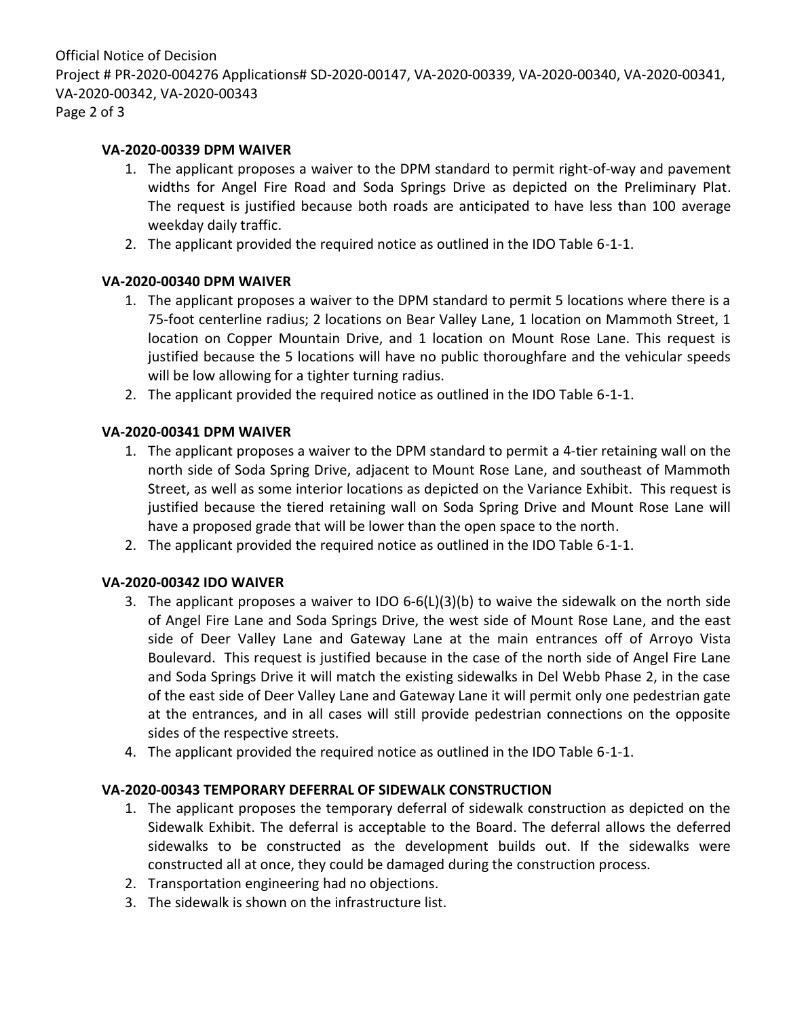#### **VA-2020-00339 DPM WAIVER**

- 1. The applicant proposes a waiver to the DPM standard to permit right-of-way and pavement widths for Angel Fire Road and Soda Springs Drive as depicted on the Preliminary Plat. The request is justified because both roads are anticipated to have less than 100 average weekday daily traffic.
- 2. The applicant provided the required notice as outlined in the IDO Table 6-1-1.

### **VA-2020-00340 DPM WAIVER**

- 1. The applicant proposes a waiver to the DPM standard to permit 5 locations where there is a 75-foot centerline radius; 2 locations on Bear Valley Lane, 1 location on Mammoth Street, 1 location on Copper Mountain Drive, and 1 location on Mount Rose Lane. This request is justified because the 5 locations will have no public thoroughfare and the vehicular speeds will be low allowing for a tighter turning radius.
- 2. The applicant provided the required notice as outlined in the IDO Table 6-1-1.

### **VA-2020-00341 DPM WAIVER**

- 1. The applicant proposes a waiver to the DPM standard to permit a 4-tier retaining wall on the north side of Soda Spring Drive, adjacent to Mount Rose Lane, and southeast of Mammoth Street, as well as some interior locations as depicted on the Variance Exhibit. This request is justified because the tiered retaining wall on Soda Spring Drive and Mount Rose Lane will have a proposed grade that will be lower than the open space to the north.
- 2. The applicant provided the required notice as outlined in the IDO Table 6-1-1.

### **VA-2020-00342 IDO WAIVER**

- 3. The applicant proposes a waiver to IDO 6-6(L)(3)(b) to waive the sidewalk on the north side of Angel Fire Lane and Soda Springs Drive, the west side of Mount Rose Lane, and the east side of Deer Valley Lane and Gateway Lane at the main entrances off of Arroyo Vista Boulevard. This request is justified because in the case of the north side of Angel Fire Lane and Soda Springs Drive it will match the existing sidewalks in Del Webb Phase 2, in the case of the east side of Deer Valley Lane and Gateway Lane it will permit only one pedestrian gate at the entrances, and in all cases will still provide pedestrian connections on the opposite sides of the respective streets.
- 4. The applicant provided the required notice as outlined in the IDO Table 6-1-1.

### **VA-2020-00343 TEMPORARY DEFERRAL OF SIDEWALK CONSTRUCTION**

- 1. The applicant proposes the temporary deferral of sidewalk construction as depicted on the Sidewalk Exhibit. The deferral is acceptable to the Board. The deferral allows the deferred sidewalks to be constructed as the development builds out. If the sidewalks were constructed all at once, they could be damaged during the construction process.
- 2. Transportation engineering had no objections.
- 3. The sidewalk is shown on the infrastructure list.